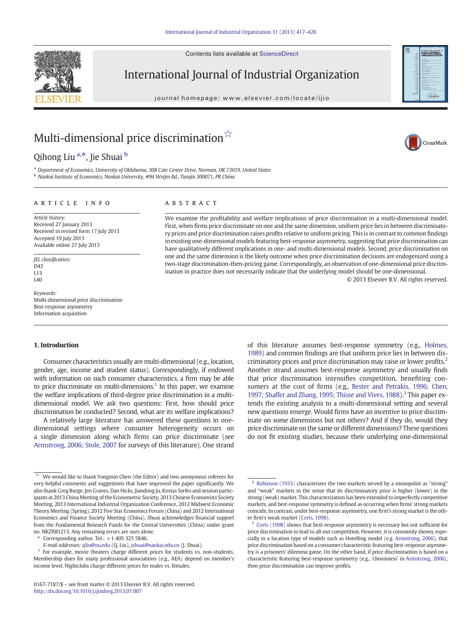Contents lists available at ScienceDirect



International Journal of Industrial Organization

journal homepage: www.elsevier.com/locate/ijio



CrossMark

# Multi-dimensional price discrimination<sup>☆</sup>

Qihong Liu <sup>a,\*</sup>, Jie Shuai <sup>b</sup>

a Department of Economics, University of Oklahoma, 308 Cate Center Drive, Norman, OK 73019, United States <sup>b</sup> Nankai Institute of Economics, Nankai University, #94 Weijin Rd., Tianjin 300071, PR China

### article info abstract

Article history: Received 27 January 2013 Received in revised form 17 July 2013 Accepted 19 July 2013 Available online 27 July 2013

JEL classification: D43 L13  $I40$ 

Keywords: Multi-dimensional price discrimination Best-response asymmetry Information acquisition

## 1. Introduction

Consumer characteristics usually are multi-dimensional (e.g., location, gender, age, income and student status). Correspondingly, if endowed with information on such consumer characteristics, a firm may be able to price discriminate on multi-dimensions.<sup>1</sup> In this paper, we examine the welfare implications of third-degree price discrimination in a multidimensional model. We ask two questions: First, how should price discrimination be conducted? Second, what are its welfare implications?

A relatively large literature has answered these questions in onedimensional settings where consumer heterogeneity occurs on a single dimension along which firms can price discriminate (see [Armstrong, 2006; Stole, 2007](#page--1-0) for surveys of this literature). One strand

Corresponding author. Tel.:  $+1$  405 325 5846.

We examine the profitability and welfare implications of price discrimination in a multi-dimensional model. First, when firms price discriminate on one and the same dimension, uniform price lies in between discriminatory prices and price discrimination raises profits relative to uniform pricing. This is in contrast to common findings in existing one-dimensional models featuring best-response asymmetry, suggesting that price discrimination can have qualitatively different implications in one- and multi-dimensional models. Second, price discrimination on one and the same dimension is the likely outcome when price discrimination decisions are endogenized using a two-stage discrimination-then-pricing game. Correspondingly, an observation of one-dimensional price discrimination in practice does not necessarily indicate that the underlying model should be one-dimensional.

© 2013 Elsevier B.V. All rights reserved.

of this literature assumes best-response symmetry (e.g., [Holmes,](#page--1-0) [1989](#page--1-0)) and common findings are that uniform price lies in between discriminatory prices and price discrimination may raise or lower profits.2 Another strand assumes best-response asymmetry and usually finds that price discrimination intensifies competition, benefiting consumers at the cost of firms (e.g., [Bester and Petrakis, 1996; Chen,](#page--1-0) [1997; Shaffer and Zhang, 1995; Thisse and Vives, 1988](#page--1-0)).<sup>3</sup> This paper extends the existing analysis to a multi-dimensional setting and several new questions emerge. Would firms have an incentive to price discriminate on some dimensions but not others? And if they do, would they price discriminate on the same or different dimensions? These questions do not fit existing studies, because their underlying one-dimensional

We would like to thank Yongmin Chen (the Editor) and two anonymous referees for very helpful comments and suggestions that have improved the paper significantly. We also thank Greg Burge, Jen Graves, Dan Hicks, Jiandong Ju, Kostas Serfes and session participants at 2013 China Meeting of the Econometric Society, 2013 Chinese Economists Society Meeting, 2013 International Industrial Organization Conference, 2012 Midwest Economic Theory Meeting (Spring), 2012 Five Star Economics Forum (China) and 2012 International Economics and Finance Society Meeting (China). Shuai acknowledges financial support from the Fundamental Research Funds for the Central Universities (China) under grant no. NKZXB1213. Any remaining errors are ours alone.

E-mail addresses: [qliu@ou.edu](mailto:qliu@ou.edu) (Q. Liu), [jshuai@nankai.edu.cn](mailto:jshuai@nankai.edu.cn) (J. Shuai).

<sup>&</sup>lt;sup>1</sup> For example, movie theaters charge different prices for students vs. non-students. Membership dues for many professional associations (e.g., AEA) depend on member's income level. Nightclubs charge different prices for males vs. females.

 $2$  [Robinson \(1933\)](#page--1-0) characterizes the two markets served by a monopolist as "strong" and "weak" markets in the sense that its discriminatory price is higher (lower) in the strong (weak) market. This characterization has been extended to imperfectly competitive markets, and best-response symmetry is defined as occurring when firms' strong markets coincide. In contrast, under best-response asymmetry, one firm's strong market is the other firm's weak market [\(Corts, 1998](#page--1-0)).

[Corts \(1998\)](#page--1-0) shows that best-response asymmetry is necessary but not sufficient for price discrimination to lead to all-out competition. However, it is commonly shown, especially in a location type of models such as Hotelling model (e.g. [Armstrong, 2006\)](#page--1-0), that price discrimination based on a consumer characteristic featuring best-response asymmetry is a prisoners' dilemma game. On the other hand, if price discrimination is based on a characteristic featuring best-response symmetry (e.g., 'choosiness' in [Armstrong, 2006](#page--1-0)), then price discrimination can improve profits.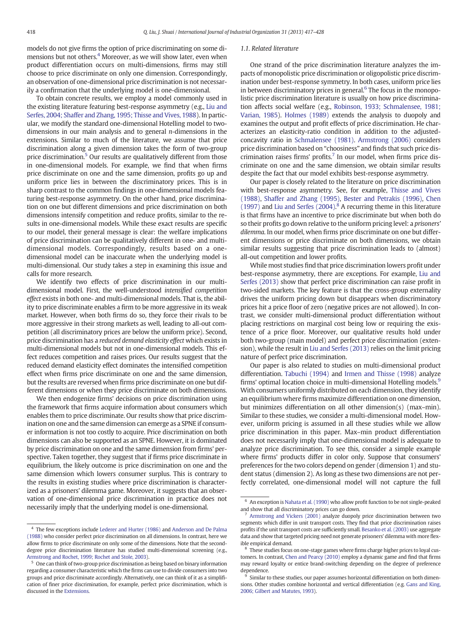models do not give firms the option of price discriminating on some dimensions but not others.<sup>4</sup> Moreover, as we will show later, even when product differentiation occurs on multi-dimensions, firms may still choose to price discriminate on only one dimension. Correspondingly, an observation of one-dimensional price discrimination is not necessarily a confirmation that the underlying model is one-dimensional.

To obtain concrete results, we employ a model commonly used in the existing literature featuring best-response asymmetry (e.g., [Liu and](#page--1-0) [Serfes, 2004; Shaffer and Zhang, 1995; Thisse and Vives, 1988](#page--1-0)). In particular, we modify the standard one-dimensional Hotelling model to twodimensions in our main analysis and to general n-dimensions in the extensions. Similar to much of the literature, we assume that price discrimination along a given dimension takes the form of two-group price discrimination.<sup>5</sup> Our results are qualitatively different from those in one-dimensional models. For example, we find that when firms price discriminate on one and the same dimension, profits go up and uniform price lies in between the discriminatory prices. This is in sharp contrast to the common findings in one-dimensional models featuring best-response asymmetry. On the other hand, price discrimination on one but different dimensions and price discrimination on both dimensions intensify competition and reduce profits, similar to the results in one-dimensional models. While these exact results are specific to our model, their general message is clear: the welfare implications of price discrimination can be qualitatively different in one- and multidimensional models. Correspondingly, results based on a onedimensional model can be inaccurate when the underlying model is multi-dimensional. Our study takes a step in examining this issue and calls for more research.

We identify two effects of price discrimination in our multidimensional model. First, the well-understood intensified competition effect exists in both one- and multi-dimensional models. That is, the ability to price discriminate enables a firm to be more aggressive in its weak market. However, when both firms do so, they force their rivals to be more aggressive in their strong markets as well, leading to all-out competition (all discriminatory prices are below the uniform price). Second, price discrimination has a reduced demand elasticity effect which exists in multi-dimensional models but not in one-dimensional models. This effect reduces competition and raises prices. Our results suggest that the reduced demand elasticity effect dominates the intensified competition effect when firms price discriminate on one and the same dimension, but the results are reversed when firms price discriminate on one but different dimensions or when they price discriminate on both dimensions.

We then endogenize firms' decisions on price discrimination using the framework that firms acquire information about consumers which enables them to price discriminate. Our results show that price discrimination on one and the same dimension can emerge as a SPNE if consumer information is not too costly to acquire. Price discrimination on both dimensions can also be supported as an SPNE. However, it is dominated by price discrimination on one and the same dimension from firms' perspective. Taken together, they suggest that if firms price discriminate in equilibrium, the likely outcome is price discrimination on one and the same dimension which lowers consumer surplus. This is contrary to the results in existing studies where price discrimination is characterized as a prisoners' dilemma game. Moreover, it suggests that an observation of one-dimensional price discrimination in practice does not necessarily imply that the underlying model is one-dimensional.

## 1.1. Related literature

One strand of the price discrimination literature analyzes the impacts of monopolistic price discrimination or oligopolistic price discrimination under best-response symmetry. In both cases, uniform price lies in between discriminatory prices in general. $6$  The focus in the monopolistic price discrimination literature is usually on how price discrimination affects social welfare (e.g., [Robinson, 1933; Schmalensee, 1981;](#page--1-0) [Varian, 1985](#page--1-0)). [Holmes \(1989\)](#page--1-0) extends the analysis to duopoly and examines the output and profit effects of price discrimination. He characterizes an elasticity-ratio condition in addition to the adjustedconcavity ratio in [Schmalensee \(1981\).](#page--1-0) [Armstrong \(2006\)](#page--1-0) considers price discrimination based on "choosiness" and finds that such price discrimination raises firms' profits. $7$  In our model, when firms price discriminate on one and the same dimension, we obtain similar results despite the fact that our model exhibits best-response asymmetry.

Our paper is closely related to the literature on price discrimination with best-response asymmetry. See, for example, [Thisse and Vives](#page--1-0) [\(1988\)](#page--1-0), [Shaffer and Zhang \(1995\)](#page--1-0), [Bester and Petrakis \(1996\),](#page--1-0) [Chen](#page--1-0) [\(1997\)](#page--1-0) and [Liu and Serfes \(2004\)](#page--1-0). <sup>8</sup> A recurring theme in this literature is that firms have an incentive to price discriminate but when both do so their profits go down relative to the uniform pricing level: a prisoners' dilemma. In our model, when firms price discriminate on one but different dimensions or price discriminate on both dimensions, we obtain similar results suggesting that price discrimination leads to (almost) all-out competition and lower profits.

While most studies find that price discrimination lowers profit under best-response asymmetry, there are exceptions. For example, [Liu and](#page--1-0) [Serfes \(2013\)](#page--1-0) show that perfect price discrimination can raise profit in two-sided markets. The key feature is that the cross-group externality drives the uniform pricing down but disappears when discriminatory prices hit a price floor of zero (negative prices are not allowed). In contrast, we consider multi-dimensional product differentiation without placing restrictions on marginal cost being low or requiring the existence of a price floor. Moreover, our qualitative results hold under both two-group (main model) and perfect price discrimination (extension), while the result in [Liu and Serfes \(2013\)](#page--1-0) relies on the limit pricing nature of perfect price discrimination.

Our paper is also related to studies on multi-dimensional product differentiation. [Tabuchi \(1994\)](#page--1-0) and [Irmen and Thisse \(1998\)](#page--1-0) analyze firms' optimal location choice in multi-dimensional Hotelling models.<sup>9</sup> With consumers uniformly distributed on each dimension, they identify an equilibrium where firms maximize differentiation on one dimension, but minimizes differentiation on all other dimension(s) (max–min). Similar to these studies, we consider a multi-dimensional model. However, uniform pricing is assumed in all these studies while we allow price discrimination in this paper. Max–min product differentiation does not necessarily imply that one-dimensional model is adequate to analyze price discrimination. To see this, consider a simple example where firms' products differ in color only. Suppose that consumers' preferences for the two colors depend on gender (dimension 1) and student status (dimension 2). As long as these two dimensions are not perfectly correlated, one-dimensional model will not capture the full

<sup>4</sup> The few exceptions include [Lederer and Hurter \(1986\)](#page--1-0) and [Anderson and De Palma](#page--1-0) [\(1988\)](#page--1-0) who consider perfect price discrimination on all dimensions. In contrast, here we allow firms to price discriminate on only some of the dimensions. Note that the seconddegree price discrimination literature has studied multi-dimensional screening (e.g., [Armstrong and Rochet, 1999; Rochet and Stole, 2003](#page--1-0)).

<sup>5</sup> One can think of two-group price discrimination as being based on binary information regarding a consumer characteristic which the firms can use to divide consumers into two groups and price discriminate accordingly. Alternatively, one can think of it as a simplification of finer price discrimination, for example, perfect price discrimination, which is discussed in the [Extensions](#page--1-0).

 $^6\,$  An exception is [Nahata et al. \(1990\)](#page--1-0) who allow profit function to be not single-peaked and show that all discriminatory prices can go down.

<sup>7</sup> [Armstrong and Vickers \(2001\)](#page--1-0) analyze duopoly price discrimination between two segments which differ in unit transport costs. They find that price discrimination raises profits if the unit transport costs are sufficiently small. [Besanko et al. \(2003\)](#page--1-0) use aggregate data and show that targeted pricing need not generate prisoners' dilemma with more flexible empirical demand.

<sup>&</sup>lt;sup>8</sup> These studies focus on one-stage games where firms charge higher prices to loyal customers. In contrast, [Chen and Pearcy \(2010\)](#page--1-0) employ a dynamic game and find that firms may reward loyalty or entice brand-switching depending on the degree of preference dependence.

<sup>&</sup>lt;sup>9</sup> Similar to these studies, our paper assumes horizontal differentiation on both dimensions. Other studies combine horizontal and vertical differentiation (e.g. [Gans and King,](#page--1-0) [2006; Gilbert and Matutes, 1993\)](#page--1-0).